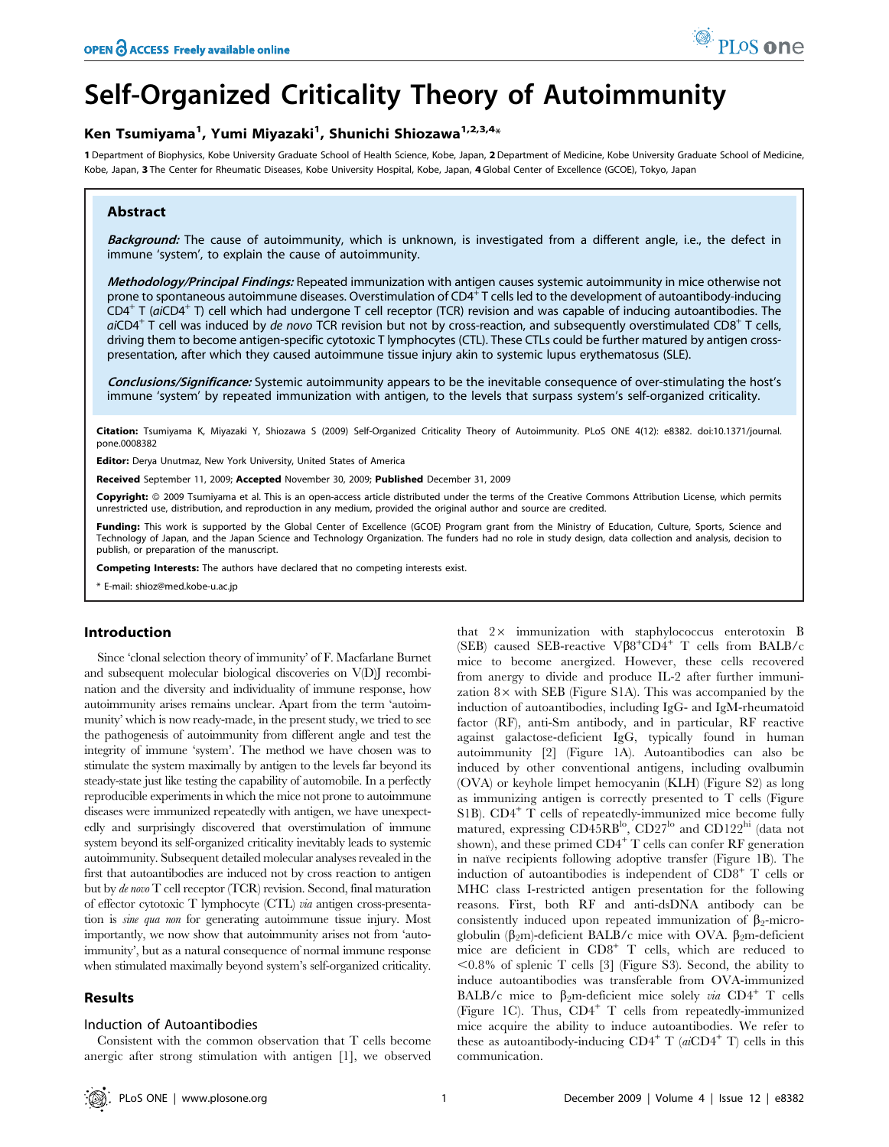# Self-Organized Criticality Theory of Autoimmunity

# Ken Tsumiyama<sup>1</sup>, Yumi Miyazaki<sup>1</sup>, Shunichi Shiozawa<sup>1,2,3,4</sup>\*

1 Department of Biophysics, Kobe University Graduate School of Health Science, Kobe, Japan, 2 Department of Medicine, Kobe University Graduate School of Medicine, Kobe, Japan, 3 The Center for Rheumatic Diseases, Kobe University Hospital, Kobe, Japan, 4 Global Center of Excellence (GCOE), Tokyo, Japan

# Abstract

Background: The cause of autoimmunity, which is unknown, is investigated from a different angle, i.e., the defect in immune 'system', to explain the cause of autoimmunity.

Methodology/Principal Findings: Repeated immunization with antigen causes systemic autoimmunity in mice otherwise not prone to spontaneous autoimmune diseases. Overstimulation of CD4<sup>+</sup> T cells led to the development of autoantibody-inducing  $CD4^+$  T (aiCD4<sup>+</sup> T) cell which had undergone T cell receptor (TCR) revision and was capable of inducing autoantibodies. The  $aiCD4<sup>+</sup>$  T cell was induced by de novo TCR revision but not by cross-reaction, and subsequently overstimulated CD8<sup>+</sup> T cells, driving them to become antigen-specific cytotoxic T lymphocytes (CTL). These CTLs could be further matured by antigen crosspresentation, after which they caused autoimmune tissue injury akin to systemic lupus erythematosus (SLE).

Conclusions/Significance: Systemic autoimmunity appears to be the inevitable consequence of over-stimulating the host's immune 'system' by repeated immunization with antigen, to the levels that surpass system's self-organized criticality.

Citation: Tsumiyama K, Miyazaki Y, Shiozawa S (2009) Self-Organized Criticality Theory of Autoimmunity. PLoS ONE 4(12): e8382. doi:10.1371/journal. pone.0008382

Editor: Derya Unutmaz, New York University, United States of America

Received September 11, 2009; Accepted November 30, 2009; Published December 31, 2009

Copyright: © 2009 Tsumiyama et al. This is an open-access article distributed under the terms of the Creative Commons Attribution License, which permits unrestricted use, distribution, and reproduction in any medium, provided the original author and source are credited.

Funding: This work is supported by the Global Center of Excellence (GCOE) Program grant from the Ministry of Education, Culture, Sports, Science and Technology of Japan, and the Japan Science and Technology Organization. The funders had no role in study design, data collection and analysis, decision to publish, or preparation of the manuscript.

Competing Interests: The authors have declared that no competing interests exist.

\* E-mail: shioz@med.kobe-u.ac.jp

# Introduction

Since 'clonal selection theory of immunity' of F. Macfarlane Burnet and subsequent molecular biological discoveries on V(D)J recombination and the diversity and individuality of immune response, how autoimmunity arises remains unclear. Apart from the term 'autoimmunity' which is now ready-made, in the present study, we tried to see the pathogenesis of autoimmunity from different angle and test the integrity of immune 'system'. The method we have chosen was to stimulate the system maximally by antigen to the levels far beyond its steady-state just like testing the capability of automobile. In a perfectly reproducible experiments in which the mice not prone to autoimmune diseases were immunized repeatedly with antigen, we have unexpectedly and surprisingly discovered that overstimulation of immune system beyond its self-organized criticality inevitably leads to systemic autoimmunity. Subsequent detailed molecular analyses revealed in the first that autoantibodies are induced not by cross reaction to antigen but by de novo T cell receptor (TCR) revision. Second, final maturation of effector cytotoxic T lymphocyte (CTL) via antigen cross-presentation is sine qua non for generating autoimmune tissue injury. Most importantly, we now show that autoimmunity arises not from 'autoimmunity', but as a natural consequence of normal immune response when stimulated maximally beyond system's self-organized criticality.

# Results

#### Induction of Autoantibodies

Consistent with the common observation that T cells become anergic after strong stimulation with antigen [1], we observed that 2x immunization with staphylococcus enterotoxin B (SEB) caused SEB-reactive  $V\beta8^+CD4^+$  T cells from BALB/c mice to become anergized. However, these cells recovered from anergy to divide and produce IL-2 after further immunization  $8 \times$  with SEB (Figure S1A). This was accompanied by the induction of autoantibodies, including IgG- and IgM-rheumatoid factor (RF), anti-Sm antibody, and in particular, RF reactive against galactose-deficient IgG, typically found in human autoimmunity [2] (Figure 1A). Autoantibodies can also be induced by other conventional antigens, including ovalbumin (OVA) or keyhole limpet hemocyanin (KLH) (Figure S2) as long as immunizing antigen is correctly presented to T cells (Figure S1B). CD4<sup>+</sup> T cells of repeatedly-immunized mice become fully matured, expressing CD45RB<sup>lo</sup>, CD27<sup>lo</sup> and CD122<sup>hi</sup> (data not shown), and these primed  $CD4^+$  T cells can confer RF generation in naïve recipients following adoptive transfer (Figure 1B). The induction of autoantibodies is independent of  $CD8<sup>+</sup>$  T cells or MHC class I-restricted antigen presentation for the following reasons. First, both RF and anti-dsDNA antibody can be consistently induced upon repeated immunization of  $\beta_2$ -microglobulin ( $\beta_2$ m)-deficient BALB/c mice with OVA.  $\beta_2$ m-deficient mice are deficient in CD8<sup>+</sup> T cells, which are reduced to  $\leq 0.8\%$  of splenic T cells [3] (Figure S3). Second, the ability to induce autoantibodies was transferable from OVA-immunized BALB/c mice to  $\beta_2$ m-deficient mice solely via CD4<sup>+</sup> T cells (Figure 1C). Thus, CD4<sup>+</sup> T cells from repeatedly-immunized mice acquire the ability to induce autoantibodies. We refer to these as autoantibody-inducing  $CD4^+$  T (ai $CD4^+$  T) cells in this communication.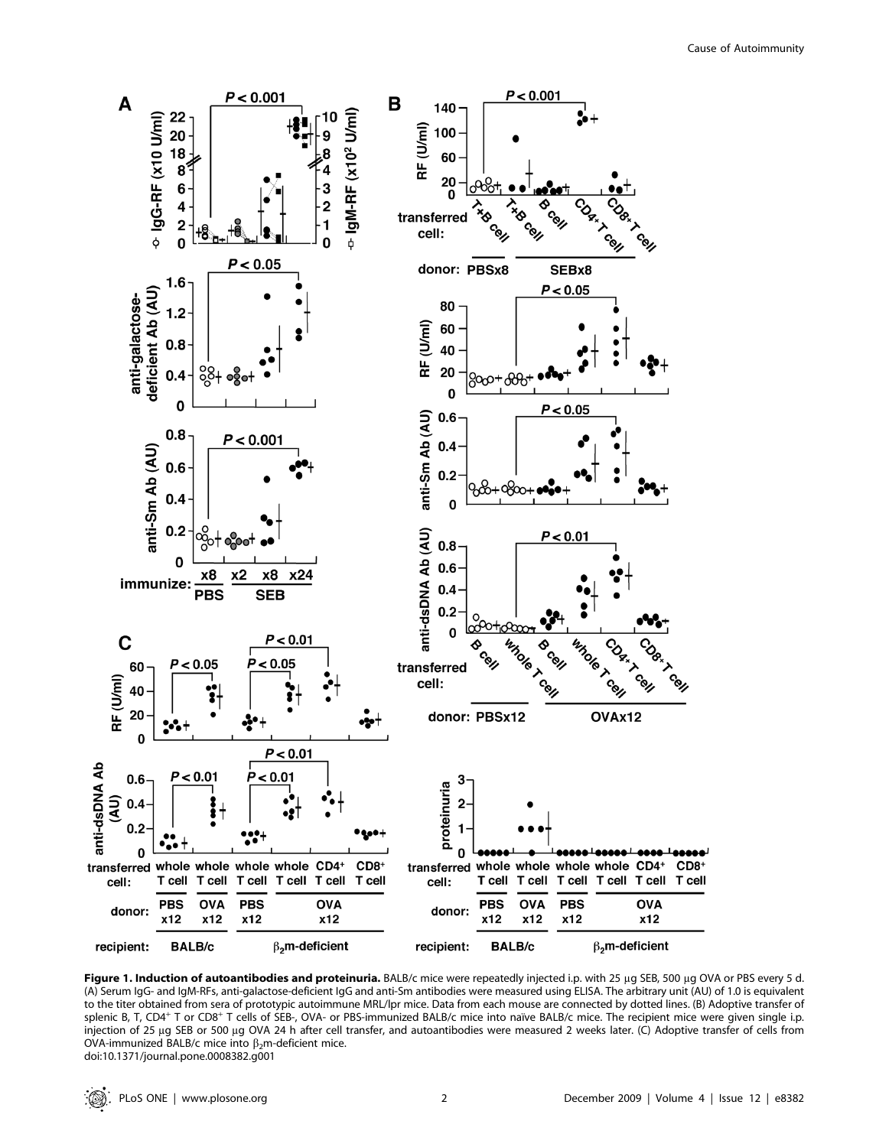

Figure 1. Induction of autoantibodies and proteinuria. BALB/c mice were repeatedly injected i.p. with 25 µg SEB, 500 µg OVA or PBS every 5 d. (A) Serum IgG- and IgM-RFs, anti-galactose-deficient IgG and anti-Sm antibodies were measured using ELISA. The arbitrary unit (AU) of 1.0 is equivalent to the titer obtained from sera of prototypic autoimmune MRL/lpr mice. Data from each mouse are connected by dotted lines. (B) Adoptive transfer of splenic B, T, CD4<sup>+</sup> T or CD8<sup>+</sup> T cells of SEB-, OVA- or PBS-immunized BALB/c mice into naïve BALB/c mice. The recipient mice were given single i.p. injection of 25 µg SEB or 500 µg OVA 24 h after cell transfer, and autoantibodies were measured 2 weeks later. (C) Adoptive transfer of cells from OVA-immunized BALB/c mice into  $\beta_2$ m-deficient mice. doi:10.1371/journal.pone.0008382.g001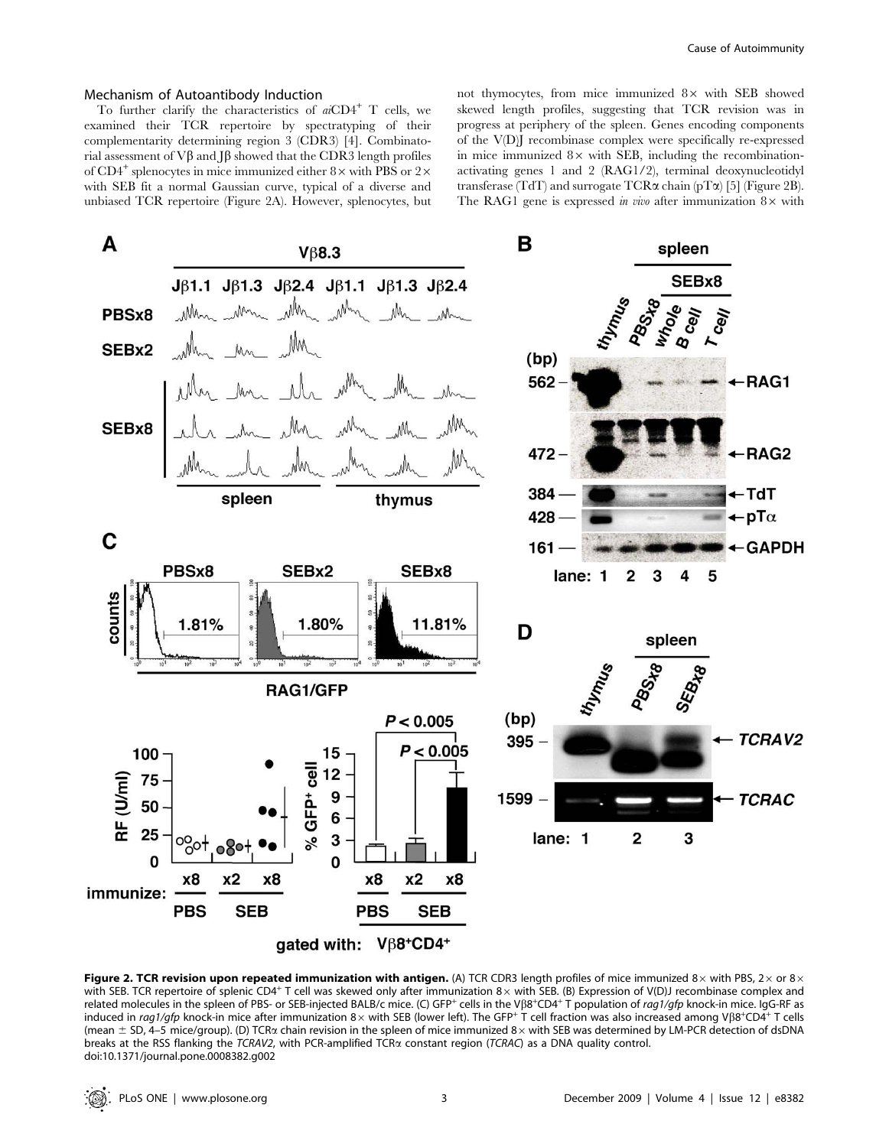#### Mechanism of Autoantibody Induction

To further clarify the characteristics of  $aCD4^+$  T cells, we examined their TCR repertoire by spectratyping of their complementarity determining region 3 (CDR3) [4]. Combinatorial assessment of  $V\beta$  and  $J\beta$  showed that the CDR3 length profiles of CD4<sup>+</sup> splenocytes in mice immunized either  $8 \times$  with PBS or  $2 \times$ with SEB fit a normal Gaussian curve, typical of a diverse and unbiased TCR repertoire (Figure 2A). However, splenocytes, but not thymocytes, from mice immunized  $8 \times$  with SEB showed skewed length profiles, suggesting that TCR revision was in progress at periphery of the spleen. Genes encoding components of the V(D)J recombinase complex were specifically re-expressed in mice immunized  $8\times$  with SEB, including the recombinationactivating genes 1 and 2 (RAG1/2), terminal deoxynucleotidyl transferase (TdT) and surrogate  $TCR\alpha$  chain (pT $\alpha$ ) [5] (Figure 2B). The RAG1 gene is expressed in vivo after immunization  $8 \times$  with



Figure 2. TCR revision upon repeated immunization with antigen. (A) TCR CDR3 length profiles of mice immunized 8 $\times$  with PBS, 2 $\times$  or 8 $\times$ with SEB. TCR repertoire of splenic CD4+ T cell was skewed only after immunization  $8 \times$  with SEB. (B) Expression of V(D)J recombinase complex and related molecules in the spleen of PBS- or SEB-injected BALB/c mice. (C) GFP<sup>+</sup> cells in the Vβ8<sup>+</sup>CD4<sup>+</sup> T population of rag1/gfp knock-in mice. IgG-RF as induced in rag1/gfp knock-in mice after immunization 8x with SEB (lower left). The GFP+ T cell fraction was also increased among Vß8+CD4+ T cells (mean  $\pm$  SD, 4–5 mice/group). (D) TCR $\alpha$  chain revision in the spleen of mice immunized 8 $\times$  with SEB was determined by LM-PCR detection of dsDNA breaks at the RSS flanking the TCRAV2, with PCR-amplified TCRa constant region (TCRAC) as a DNA quality control. doi:10.1371/journal.pone.0008382.g002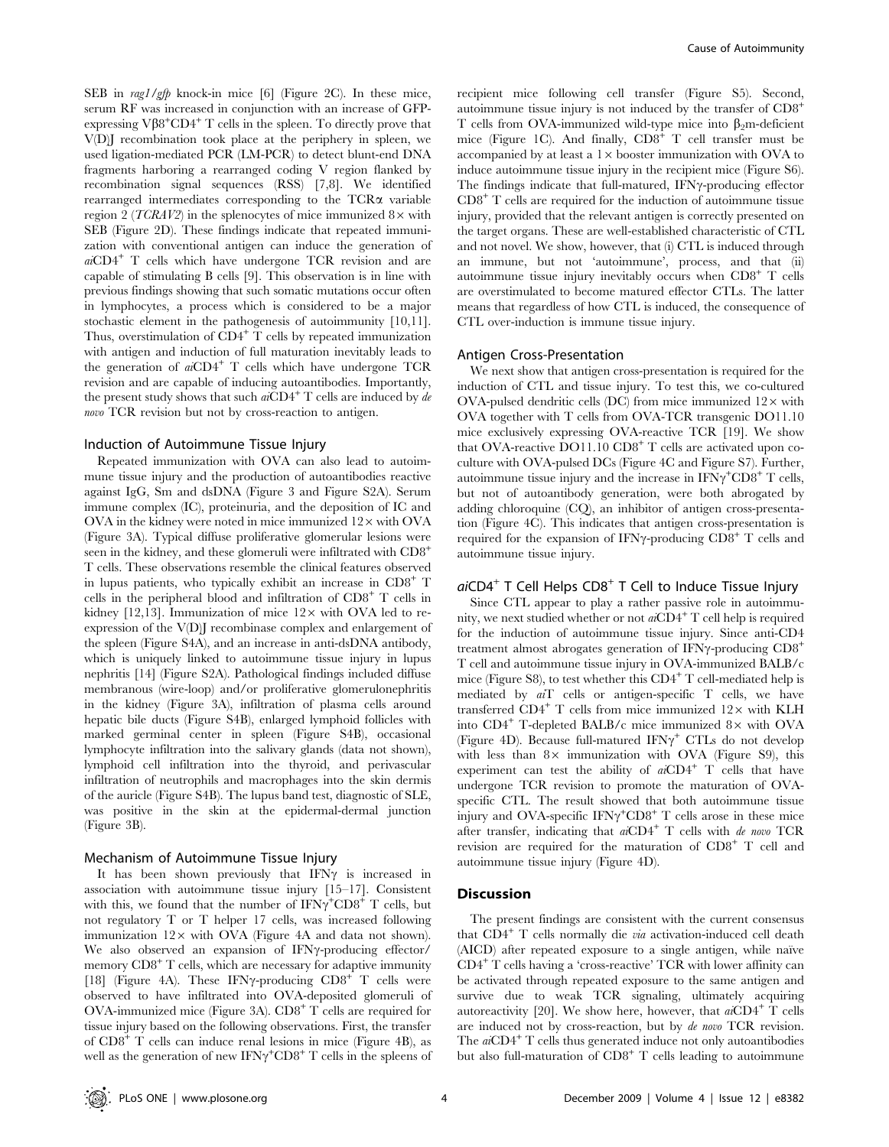SEB in rag1/gfp knock-in mice [6] (Figure 2C). In these mice, serum RF was increased in conjunction with an increase of GFPexpressing  $V\beta8^+CD4^+T$  cells in the spleen. To directly prove that V(D)J recombination took place at the periphery in spleen, we used ligation-mediated PCR (LM-PCR) to detect blunt-end DNA fragments harboring a rearranged coding V region flanked by recombination signal sequences (RSS) [7,8]. We identified rearranged intermediates corresponding to the  $TCR\alpha$  variable region 2 (*TCRAV2*) in the splenocytes of mice immunized  $8 \times$  with SEB (Figure 2D). These findings indicate that repeated immunization with conventional antigen can induce the generation of  $aiCD4^+$  T cells which have undergone TCR revision and are capable of stimulating B cells [9]. This observation is in line with previous findings showing that such somatic mutations occur often in lymphocytes, a process which is considered to be a major stochastic element in the pathogenesis of autoimmunity [10,11]. Thus, overstimulation of  $CD4^+$  T cells by repeated immunization with antigen and induction of full maturation inevitably leads to the generation of  $aiCD4^+$  T cells which have undergone TCR revision and are capable of inducing autoantibodies. Importantly, the present study shows that such  $aiCD4^+$  T cells are induced by de novo TCR revision but not by cross-reaction to antigen.

#### Induction of Autoimmune Tissue Injury

Repeated immunization with OVA can also lead to autoimmune tissue injury and the production of autoantibodies reactive against IgG, Sm and dsDNA (Figure 3 and Figure S2A). Serum immune complex (IC), proteinuria, and the deposition of IC and  $OVA$  in the kidney were noted in mice immunized  $12 \times$  with  $OVA$ (Figure 3A). Typical diffuse proliferative glomerular lesions were seen in the kidney, and these glomeruli were infiltrated with CD8<sup>+</sup> T cells. These observations resemble the clinical features observed in lupus patients, who typically exhibit an increase in CD8<sup>+</sup> T cells in the peripheral blood and infiltration of  $CD8<sup>+</sup>$  T cells in kidney [12,13]. Immunization of mice  $12\times$  with OVA led to reexpression of the V(D)J recombinase complex and enlargement of the spleen (Figure S4A), and an increase in anti-dsDNA antibody, which is uniquely linked to autoimmune tissue injury in lupus nephritis [14] (Figure S2A). Pathological findings included diffuse membranous (wire-loop) and/or proliferative glomerulonephritis in the kidney (Figure 3A), infiltration of plasma cells around hepatic bile ducts (Figure S4B), enlarged lymphoid follicles with marked germinal center in spleen (Figure S4B), occasional lymphocyte infiltration into the salivary glands (data not shown), lymphoid cell infiltration into the thyroid, and perivascular infiltration of neutrophils and macrophages into the skin dermis of the auricle (Figure S4B). The lupus band test, diagnostic of SLE, was positive in the skin at the epidermal-dermal junction (Figure 3B).

#### Mechanism of Autoimmune Tissue Injury

It has been shown previously that  $IFN\gamma$  is increased in association with autoimmune tissue injury [15–17]. Consistent with this, we found that the number of  $IFN\gamma^+ CDB^+$  T cells, but not regulatory T or T helper 17 cells, was increased following immunization  $12\times$  with OVA (Figure 4A and data not shown). We also observed an expansion of IFN<sub>Y</sub>-producing effector/ memory  $CD8<sup>+</sup>$  T cells, which are necessary for adaptive immunity [18] (Figure 4A). These IFN $\gamma$ -producing  $CD8^+$  T cells were observed to have infiltrated into OVA-deposited glomeruli of OVA-immunized mice (Figure 3A). CD8<sup>+</sup> T cells are required for tissue injury based on the following observations. First, the transfer of CD8<sup>+</sup> T cells can induce renal lesions in mice (Figure 4B), as well as the generation of new  $IFN\gamma^+ C D8^+ T$  cells in the spleens of

recipient mice following cell transfer (Figure S5). Second, autoimmune tissue injury is not induced by the transfer of CD8<sup>+</sup> T cells from OVA-immunized wild-type mice into  $\beta_2$ m-deficient mice (Figure 1C). And finally,  $CD8<sup>+</sup>$  T cell transfer must be accompanied by at least a  $1\times$  booster immunization with OVA to induce autoimmune tissue injury in the recipient mice (Figure S6). The findings indicate that full-matured, IFNy-producing effector  $CD8<sup>+</sup>$  T cells are required for the induction of autoimmune tissue injury, provided that the relevant antigen is correctly presented on the target organs. These are well-established characteristic of CTL and not novel. We show, however, that (i) CTL is induced through an immune, but not 'autoimmune', process, and that (ii) autoimmune tissue injury inevitably occurs when CD8<sup>+</sup> T cells are overstimulated to become matured effector CTLs. The latter means that regardless of how CTL is induced, the consequence of CTL over-induction is immune tissue injury.

## Antigen Cross-Presentation

We next show that antigen cross-presentation is required for the induction of CTL and tissue injury. To test this, we co-cultured  $OVA$ -pulsed dendritic cells  $(DC)$  from mice immunized  $12 \times$  with OVA together with T cells from OVA-TCR transgenic DO11.10 mice exclusively expressing OVA-reactive TCR [19]. We show that OVA-reactive  $DO11.10$   $CD8<sup>+</sup>$  T cells are activated upon coculture with OVA-pulsed DCs (Figure 4C and Figure S7). Further, autoimmune tissue injury and the increase in  $\text{IFN}\gamma^{\text{+}}\text{CD}8^{\text{+}}$  T cells, but not of autoantibody generation, were both abrogated by adding chloroquine (CQ), an inhibitor of antigen cross-presentation (Figure 4C). This indicates that antigen cross-presentation is required for the expansion of IFN $\gamma$ -producing CD8<sup>+</sup> T cells and autoimmune tissue injury.

# $aiCD4<sup>+</sup>$  T Cell Helps  $CD8<sup>+</sup>$  T Cell to Induce Tissue Injury

Since CTL appear to play a rather passive role in autoimmunity, we next studied whether or not  $a\text{CD4}^+$  T cell help is required for the induction of autoimmune tissue injury. Since anti-CD4 treatment almost abrogates generation of IFN $\gamma$ -producing  $CD8^+$ T cell and autoimmune tissue injury in OVA-immunized BALB/c mice (Figure S8), to test whether this  $CD4^+$  T cell-mediated help is mediated by  $a_i$ <sup>T</sup> cells or antigen-specific  $T$  cells, we have transferred  $CD4^+$  T cells from mice immunized  $12\times$  with KLH into  $CD4^+$  T-depleted BALB/c mice immunized  $8\times$  with OVA (Figure 4D). Because full-matured IFN $\gamma^+$  CTLs do not develop with less than  $8 \times$  immunization with OVA (Figure S9), this experiment can test the ability of  $aiCD4^+$  T cells that have undergone TCR revision to promote the maturation of OVAspecific CTL. The result showed that both autoimmune tissue injury and OVA-specific  $IFN\gamma^+ C D8^+$  T cells arose in these mice after transfer, indicating that  $aiCD4^+$  T cells with de novo TCR revision are required for the maturation of CD8<sup>+</sup> T cell and autoimmune tissue injury (Figure 4D).

## **Discussion**

The present findings are consistent with the current consensus that  $CD4^+$  T cells normally die *via* activation-induced cell death (AICD) after repeated exposure to a single antigen, while naïve CD4<sup>+</sup> T cells having a 'cross-reactive' TCR with lower affinity can be activated through repeated exposure to the same antigen and survive due to weak TCR signaling, ultimately acquiring autoreactivity [20]. We show here, however, that  $a\ddot{C}D4^+$  T cells are induced not by cross-reaction, but by de novo TCR revision. The  $a\ddot{C}D4^+$  T cells thus generated induce not only autoantibodies but also full-maturation of  $CD8<sup>+</sup>$  T cells leading to autoimmune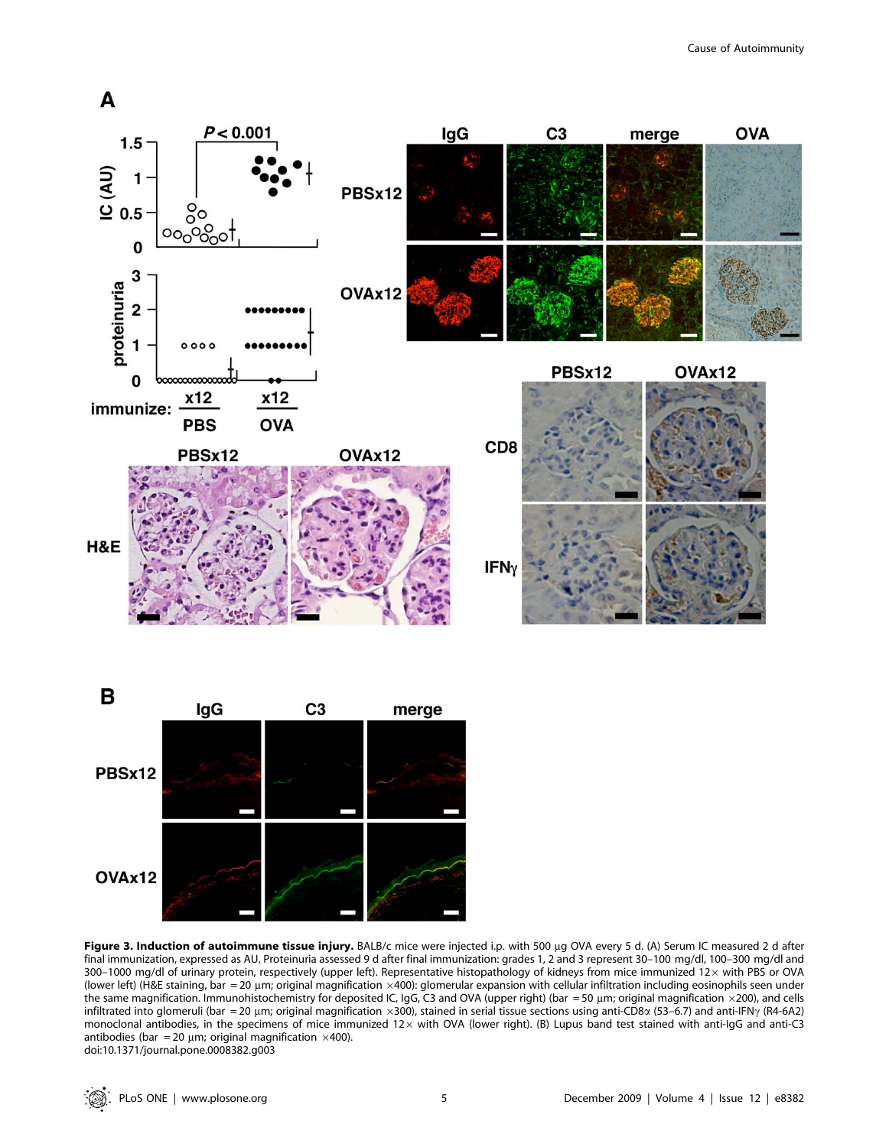





Figure 3. Induction of autoimmune tissue injury. BALB/c mice were injected i.p. with 500 µg OVA every 5 d. (A) Serum IC measured 2 d after final immunization, expressed as AU. Proteinuria assessed 9 d after final immunization: grades 1, 2 and 3 represent 30–100 mg/dl, 100–300 mg/dl and 300-1000 mg/dl of urinary protein, respectively (upper left). Representative histopathology of kidneys from mice immunized 12x with PBS or OVA (lower left) (H&E staining, bar = 20 µm; original magnification  $\times$ 400): glomerular expansion with cellular infiltration including eosinophils seen under the same magnification. Immunohistochemistry for deposited IC, IgG, C3 and OVA (upper right) (bar = 50 µm; original magnification ×200), and cells infiltrated into glomeruli (bar = 20 µm; original magnification ×300), stained in serial tissue sections using anti-CD8 $\alpha$  (53–6.7) and anti-IFN $\gamma$  (R4-6A2) monoclonal antibodies, in the specimens of mice immunized  $12\times$  with OVA (lower right). (B) Lupus band test stained with anti-IgG and anti-C3 antibodies (bar = 20 µm; original magnification  $\times$ 400). doi:10.1371/journal.pone.0008382.g003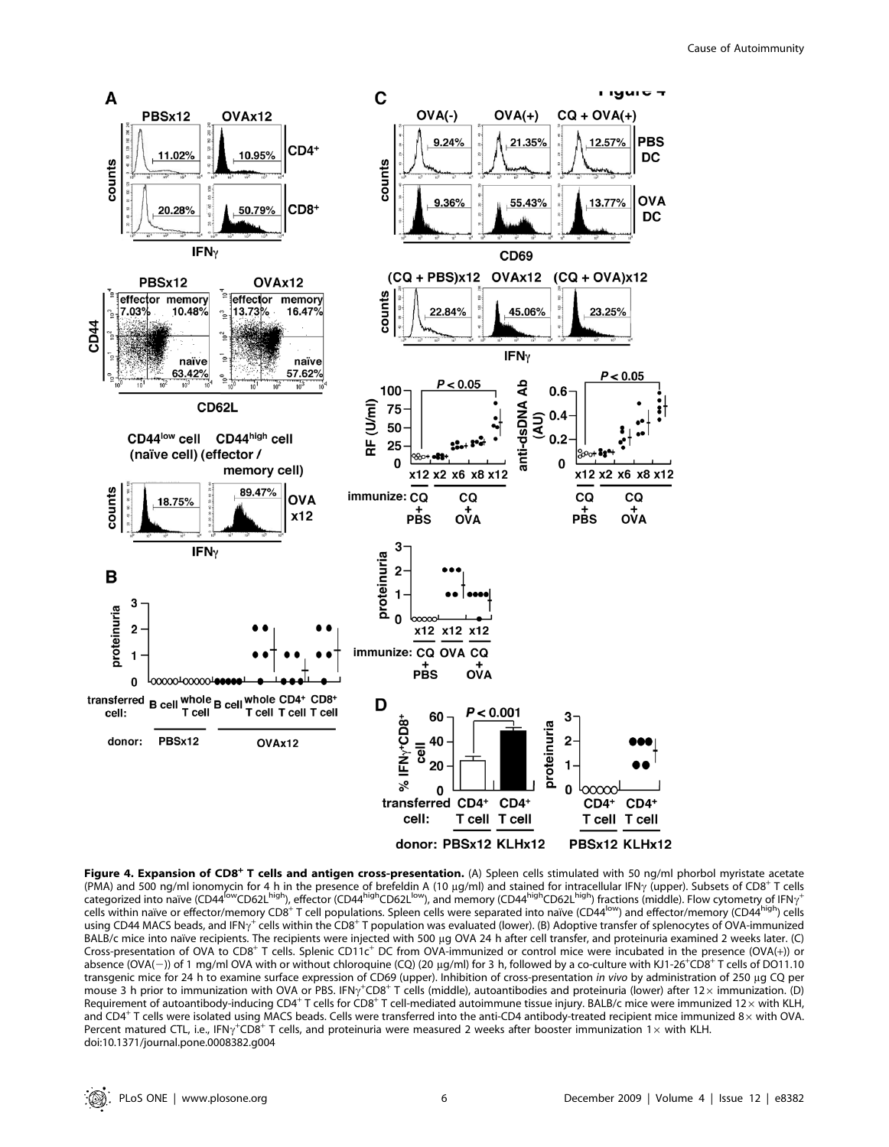

Figure 4. Expansion of CD8<sup>+</sup> T cells and antigen cross-presentation. (A) Spleen cells stimulated with 50 ng/ml phorbol myristate acetate (PMA) and 500 ng/ml ionomycin for 4 h in the presence of brefeldin A (10 µg/ml) and stained for intracellular IFN $\gamma$  (upper). Subsets of CD8<sup>+</sup> T cells categorized into naive (CD44<sup>low</sup>CD62L<sup>high</sup>), effector (CD44<sup>high</sup>CD62L<sup>low</sup>), and memory (CD44<sup>high</sup>CD62L<sup>high</sup>) fractions (middle). Flow cytometry of IFN<sub>7</sub><sup>+</sup> cells within naïve or effector/memory CD8<sup>+</sup> T cell populations. Spleen cells were separated into naïve (CD44<sup>low)</sup> and effector/memory (CD44<sup>high</sup>) cells using CD44 MACS beads, and IFN $\gamma^+$  cells within the CD8<sup>+</sup> T population was evaluated (lower). (B) Adoptive transfer of splenocytes of OVA-immunized BALB/c mice into naïve recipients. The recipients were injected with 500 µg OVA 24 h after cell transfer, and proteinuria examined 2 weeks later. (C) Cross-presentation of OVA to CD8<sup>+</sup> T cells. Splenic CD11c<sup>+</sup> DC from OVA-immunized or control mice were incubated in the presence (OVA(+)) or absence (OVA(-)) of 1 mg/ml OVA with or without chloroquine (CQ) (20 µg/ml) for 3 h, followed by a co-culture with KJ1-26<sup>+</sup>CD8<sup>+</sup> T cells of DO11.10 transgenic mice for 24 h to examine surface expression of CD69 (upper). Inhibition of cross-presentation in vivo by administration of 250 µg CQ per mouse 3 h prior to immunization with OVA or PBS. IFN $\gamma^+$ CD8<sup>+</sup> T cells (middle), autoantibodies and proteinuria (lower) after 12× immunization. (D) Requirement of autoantibody-inducing CD4+ T cells for CD8+ T cell-mediated autoimmune tissue injury. BALB/c mice were immunized 12 x with KLH, and CD4<sup>+</sup> T cells were isolated using MACS beads. Cells were transferred into the anti-CD4 antibody-treated recipient mice immunized 8 $\times$  with OVA. Percent matured CTL, i.e., IFN $\gamma^+$ CD8+ T cells, and proteinuria were measured 2 weeks after booster immunization 1 $\times$  with KLH. doi:10.1371/journal.pone.0008382.g004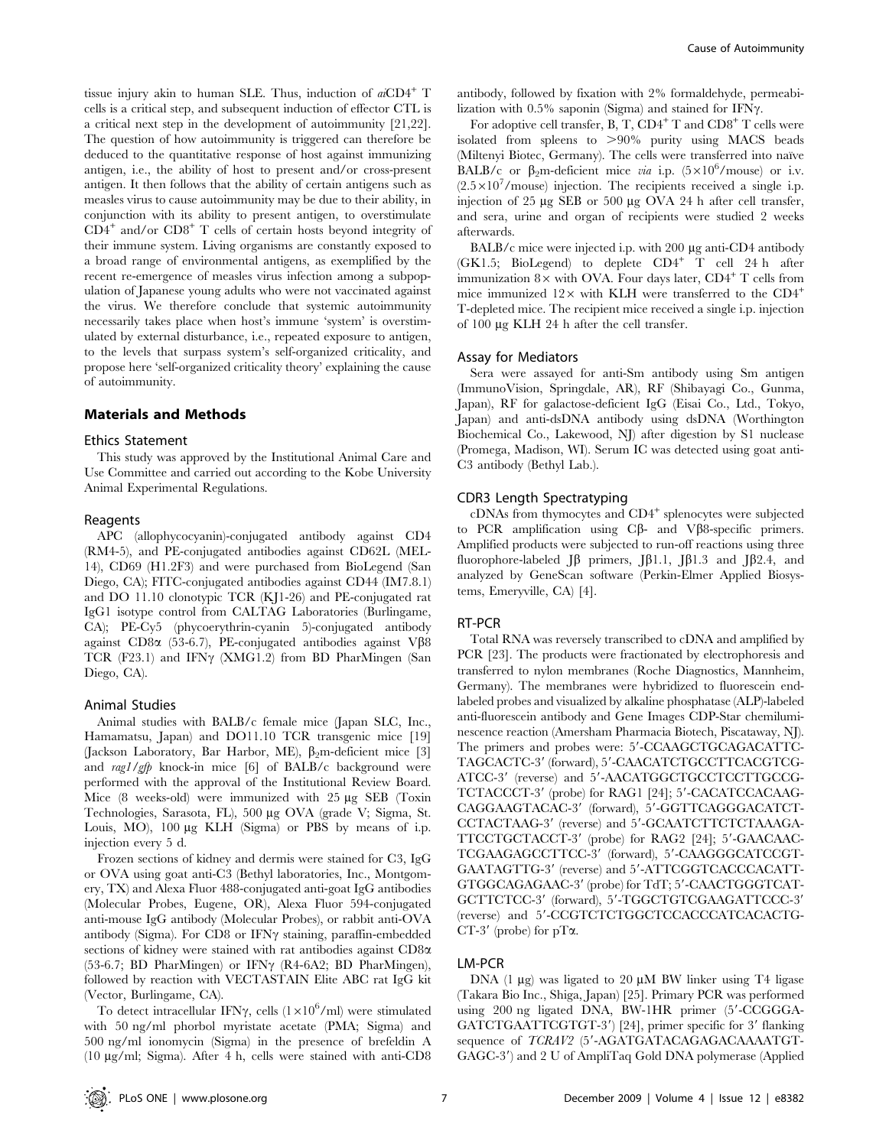tissue injury akin to human SLE. Thus, induction of  $aiCD4^+$  T cells is a critical step, and subsequent induction of effector CTL is a critical next step in the development of autoimmunity [21,22]. The question of how autoimmunity is triggered can therefore be deduced to the quantitative response of host against immunizing antigen, i.e., the ability of host to present and/or cross-present antigen. It then follows that the ability of certain antigens such as measles virus to cause autoimmunity may be due to their ability, in conjunction with its ability to present antigen, to overstimulate  $CD4^+$  and/or  $CD8^+$  T cells of certain hosts beyond integrity of their immune system. Living organisms are constantly exposed to a broad range of environmental antigens, as exemplified by the recent re-emergence of measles virus infection among a subpopulation of Japanese young adults who were not vaccinated against the virus. We therefore conclude that systemic autoimmunity necessarily takes place when host's immune 'system' is overstimulated by external disturbance, i.e., repeated exposure to antigen, to the levels that surpass system's self-organized criticality, and propose here 'self-organized criticality theory' explaining the cause of autoimmunity.

## Materials and Methods

## Ethics Statement

This study was approved by the Institutional Animal Care and Use Committee and carried out according to the Kobe University Animal Experimental Regulations.

#### Reagents

APC (allophycocyanin)-conjugated antibody against CD4 (RM4-5), and PE-conjugated antibodies against CD62L (MEL-14), CD69 (H1.2F3) and were purchased from BioLegend (San Diego, CA); FITC-conjugated antibodies against CD44 (IM7.8.1) and DO 11.10 clonotypic TCR (KJ1-26) and PE-conjugated rat IgG1 isotype control from CALTAG Laboratories (Burlingame, CA); PE-Cy5 (phycoerythrin-cyanin 5)-conjugated antibody against CD8 $\alpha$  (53-6.7), PE-conjugated antibodies against V $\beta$ 8 TCR (F23.1) and IFN $\gamma$  (XMG1.2) from BD PharMingen (San Diego, CA).

#### Animal Studies

Animal studies with BALB/c female mice (Japan SLC, Inc., Hamamatsu, Japan) and DO11.10 TCR transgenic mice [19] (Jackson Laboratory, Bar Harbor, ME),  $\beta_2$ m-deficient mice [3] and rag1/gfp knock-in mice [6] of BALB/c background were performed with the approval of the Institutional Review Board. Mice  $(8 \text{ weeks-old})$  were immunized with  $25 \mu g$  SEB (Toxin Technologies, Sarasota, FL), 500 µg OVA (grade V; Sigma, St. Louis, MO), 100 µg KLH (Sigma) or PBS by means of i.p. injection every 5 d.

Frozen sections of kidney and dermis were stained for C3, IgG or OVA using goat anti-C3 (Bethyl laboratories, Inc., Montgomery, TX) and Alexa Fluor 488-conjugated anti-goat IgG antibodies (Molecular Probes, Eugene, OR), Alexa Fluor 594-conjugated anti-mouse IgG antibody (Molecular Probes), or rabbit anti-OVA antibody (Sigma). For CD8 or IFN $\gamma$  staining, paraffin-embedded sections of kidney were stained with rat antibodies against CD8a (53-6.7; BD PharMingen) or IFN $\gamma$  (R4-6A2; BD PharMingen), followed by reaction with VECTASTAIN Elite ABC rat IgG kit (Vector, Burlingame, CA).

To detect intracellular IFN $\gamma$ , cells  $(1 \times 10^6$ /ml) were stimulated with 50 ng/ml phorbol myristate acetate (PMA; Sigma) and 500 ng/ml ionomycin (Sigma) in the presence of brefeldin A (10 mg/ml; Sigma). After 4 h, cells were stained with anti-CD8 antibody, followed by fixation with 2% formaldehyde, permeabilization with  $0.5\%$  saponin (Sigma) and stained for IFN $\gamma$ .

For adoptive cell transfer, B, T,  $CD4^+$  T and  $CD8^+$  T cells were isolated from spleens to  $>90\%$  purity using MACS beads (Miltenyi Biotec, Germany). The cells were transferred into naïve BALB/c or  $\beta_2$ m-deficient mice via i.p. (5×10<sup>6</sup>/mouse) or i.v.  $(2.5 \times 10^7$ /mouse) injection. The recipients received a single i.p. injection of 25  $\mu$ g SEB or 500  $\mu$ g OVA 24 h after cell transfer, and sera, urine and organ of recipients were studied 2 weeks afterwards.

 $BALB/c$  mice were injected i.p. with 200  $\mu$ g anti-CD4 antibody  $(GK1.5; Biolegend)$  to deplete  $CD4^+$  T cell 24 h after immunization  $8\times$  with OVA. Four days later, CD4<sup>+</sup> T cells from mice immunized  $12\times$  with KLH were transferred to the CD4<sup>+</sup> T-depleted mice. The recipient mice received a single i.p. injection of 100 mg KLH 24 h after the cell transfer.

#### Assay for Mediators

Sera were assayed for anti-Sm antibody using Sm antigen (ImmunoVision, Springdale, AR), RF (Shibayagi Co., Gunma, Japan), RF for galactose-deficient IgG (Eisai Co., Ltd., Tokyo, Japan) and anti-dsDNA antibody using dsDNA (Worthington Biochemical Co., Lakewood, NJ) after digestion by S1 nuclease (Promega, Madison, WI). Serum IC was detected using goat anti-C3 antibody (Bethyl Lab.).

#### CDR3 Length Spectratyping

cDNAs from thymocytes and CD4<sup>+</sup> splenocytes were subjected to PCR amplification using  $C\beta$ - and V $\beta$ 8-specific primers. Amplified products were subjected to run-off reactions using three fluorophore-labeled  $J\beta$  primers,  $J\beta$ 1.1,  $J\beta$ 1.3 and  $J\beta$ 2.4, and analyzed by GeneScan software (Perkin-Elmer Applied Biosystems, Emeryville, CA) [4].

## RT-PCR

Total RNA was reversely transcribed to cDNA and amplified by PCR [23]. The products were fractionated by electrophoresis and transferred to nylon membranes (Roche Diagnostics, Mannheim, Germany). The membranes were hybridized to fluorescein endlabeled probes and visualized by alkaline phosphatase (ALP)-labeled anti-fluorescein antibody and Gene Images CDP-Star chemiluminescence reaction (Amersham Pharmacia Biotech, Piscataway, NJ). The primers and probes were: 5'-CCAAGCTGCAGACATTC-TAGCACTC-3' (forward), 5'-CAACATCTGCCTTCACGTCG-ATCC-3' (reverse) and 5'-AACATGGCTGCCTCCTTGCCG-TCTACCCT-3' (probe) for RAG1 [24]; 5'-CACATCCACAAG-CAGGAAGTACAC-3' (forward), 5'-GGTTCAGGGACATCT-CCTACTAAG-3' (reverse) and 5'-GCAATCTTCTCTAAAGA-TTCCTGCTACCT-3' (probe) for RAG2 [24]; 5'-GAACAAC-TCGAAGAGCCTTCC-3' (forward), 5'-CAAGGGCATCCGT-GAATAGTTG-3' (reverse) and 5'-ATTCGGTCACCCACATT-GTGGCAGAGAAC-3' (probe) for TdT; 5'-CAACTGGGTCAT-GCTTCTCC-3' (forward), 5'-TGGCTGTCGAAGATTCCC-3' (reverse) and 5'-CCGTCTCTGGCTCCACCCATCACACTG-CT-3' (probe) for  $pT\alpha$ .

# LM-PCR

DNA (1  $\mu$ g) was ligated to 20  $\mu$ M BW linker using T4 ligase (Takara Bio Inc., Shiga, Japan) [25]. Primary PCR was performed using 200 ng ligated DNA, BW-1HR primer (5'-CCGGGA-GATCTGAATTCGTGT-3') [24], primer specific for 3' flanking sequence of TCRAV2 (5'-AGATGATACAGAGACAAAAATGT-GAGC-3') and 2 U of AmpliTaq Gold DNA polymerase (Applied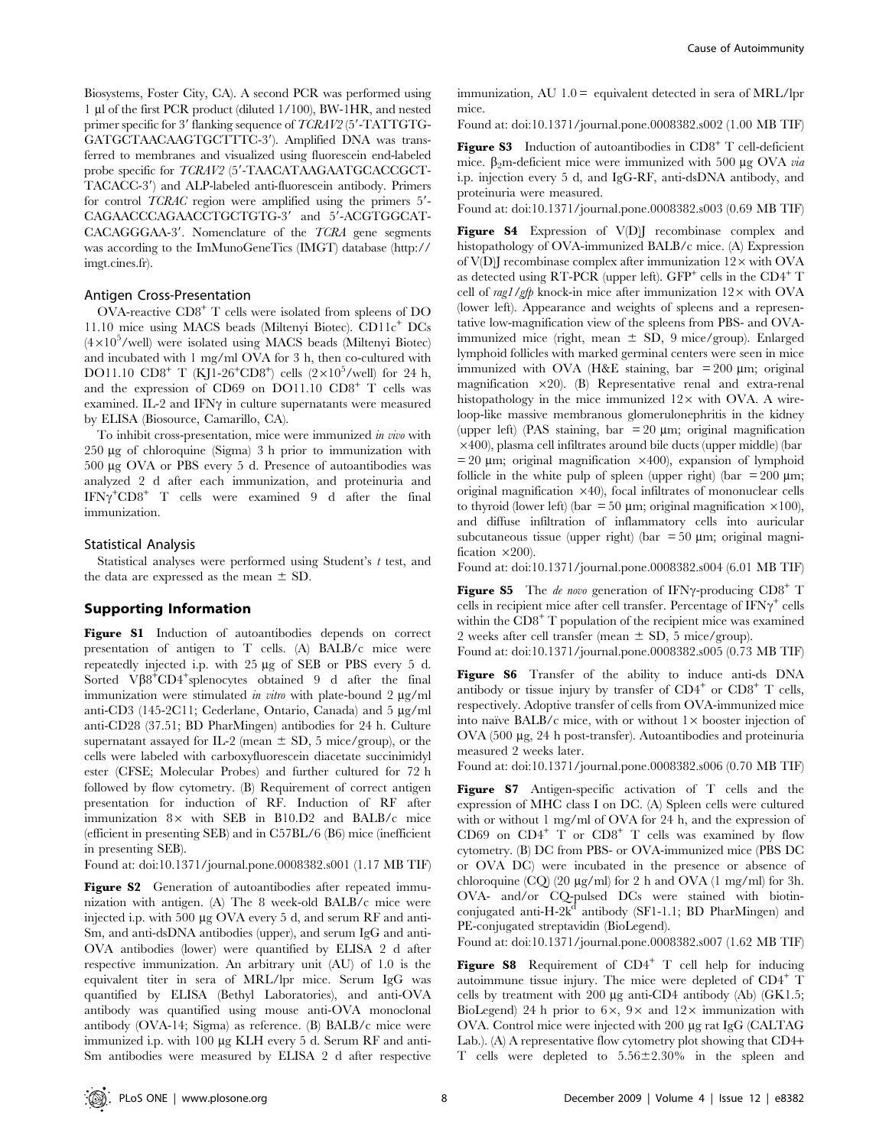Biosystems, Foster City, CA). A second PCR was performed using 1 ml of the first PCR product (diluted 1/100), BW-1HR, and nested primer specific for  $3'$  flanking sequence of  $TCRAV2$  ( $5'$ -TATTGTG-GATGCTAACAAGTGCTTTC-3'). Amplified DNA was transferred to membranes and visualized using fluorescein end-labeled probe specific for TCRAV2 (5'-TAACATAAGAATGCACCGCT-TACACC-3') and ALP-labeled anti-fluorescein antibody. Primers for control  $TCRAC$  region were amplified using the primers  $5'$ -CAGAACCCAGAACCTGCTGTG-3' and 5'-ACGTGGCAT- $CACAGGGAA-3'$ . Nomenclature of the  $TCRA$  gene segments was according to the ImMunoGeneTics (IMGT) database (http:// imgt.cines.fr).

## Antigen Cross-Presentation

OVA-reactive CD8<sup>+</sup> T cells were isolated from spleens of DO 11.10 mice using MACS beads (Miltenyi Biotec). CD11c<sup>+</sup> DCs (4×10<sup>5</sup>/well) were isolated using MACS beads (Miltenyi Biotec) and incubated with 1 mg/ml OVA for 3 h, then co-cultured with DO11.10  $CD8^+$  T (KJ1-26<sup>+</sup>CD8<sup>+</sup>) cells (2×10<sup>5</sup>/well) for 24 h, and the expression of CD69 on DO11.10 CD8<sup>+</sup> T cells was examined. IL-2 and IFN $\gamma$  in culture supernatants were measured by ELISA (Biosource, Camarillo, CA).

To inhibit cross-presentation, mice were immunized in vivo with  $250 \mu$ g of chloroquine (Sigma) 3 h prior to immunization with 500 mg OVA or PBS every 5 d. Presence of autoantibodies was analyzed 2 d after each immunization, and proteinuria and  $IFN\gamma^+CD8^+$  T cells were examined 9 d after the final immunization.

#### Statistical Analysis

Statistical analyses were performed using Student's  $t$  test, and the data are expressed as the mean  $\pm$  SD.

# Supporting Information

Figure S1 Induction of autoantibodies depends on correct presentation of antigen to T cells. (A) BALB/c mice were repeatedly injected i.p. with 25 µg of SEB or PBS every 5 d. Sorted VB8<sup>+</sup>CD4<sup>+</sup>splenocytes obtained 9 d after the final immunization were stimulated in vitro with plate-bound  $2 \mu g/ml$ anti-CD3 (145-2C11; Cederlane, Ontario, Canada) and 5 µg/ml anti-CD28 (37.51; BD PharMingen) antibodies for 24 h. Culture supernatant assayed for IL-2 (mean  $\pm$  SD, 5 mice/group), or the cells were labeled with carboxyfluorescein diacetate succinimidyl ester (CFSE; Molecular Probes) and further cultured for 72 h followed by flow cytometry. (B) Requirement of correct antigen presentation for induction of RF. Induction of RF after immunization  $8 \times$  with SEB in B10.D2 and BALB/c mice (efficient in presenting SEB) and in C57BL/6 (B6) mice (inefficient in presenting SEB).

Found at: doi:10.1371/journal.pone.0008382.s001 (1.17 MB TIF)

Figure S2 Generation of autoantibodies after repeated immunization with antigen. (A) The 8 week-old BALB/c mice were injected i.p. with 500 µg OVA every 5 d, and serum RF and anti-Sm, and anti-dsDNA antibodies (upper), and serum IgG and anti-OVA antibodies (lower) were quantified by ELISA 2 d after respective immunization. An arbitrary unit (AU) of 1.0 is the equivalent titer in sera of MRL/lpr mice. Serum IgG was quantified by ELISA (Bethyl Laboratories), and anti-OVA antibody was quantified using mouse anti-OVA monoclonal antibody (OVA-14; Sigma) as reference. (B) BALB/c mice were immunized i.p. with 100 µg KLH every 5 d. Serum RF and anti-Sm antibodies were measured by ELISA 2 d after respective

immunization, AU  $1.0$  = equivalent detected in sera of MRL/lpr mice.

Found at: doi:10.1371/journal.pone.0008382.s002 (1.00 MB TIF)

Figure S3 Induction of autoantibodies in CD8<sup>+</sup> T cell-deficient mice.  $\beta_2$ m-deficient mice were immunized with 500 µg OVA *via* i.p. injection every 5 d, and IgG-RF, anti-dsDNA antibody, and proteinuria were measured.

Found at: doi:10.1371/journal.pone.0008382.s003 (0.69 MB TIF)

Figure S4 Expression of V(D)J recombinase complex and histopathology of OVA-immunized BALB/c mice. (A) Expression of V(D)J recombinase complex after immunization  $12\times$  with OVA as detected using RT-PCR (upper left).  $GFP^+$  cells in the  $CD4^+$  T cell of rag1/gfp knock-in mice after immunization  $12\times$  with OVA (lower left). Appearance and weights of spleens and a representative low-magnification view of the spleens from PBS- and OVAimmunized mice (right, mean  $\pm$  SD, 9 mice/group). Enlarged lymphoid follicles with marked germinal centers were seen in mice immunized with OVA (H&E staining, bar =  $200 \mu m$ ; original magnification  $\times$ 20). (B) Representative renal and extra-renal histopathology in the mice immunized  $12\times$  with OVA. A wireloop-like massive membranous glomerulonephritis in the kidney (upper left) (PAS staining, bar = 20  $\mu$ m; original magnification  $\times$ 400), plasma cell infiltrates around bile ducts (upper middle) (bar  $= 20 \mu m$ ; original magnification  $\times 400$ ), expansion of lymphoid follicle in the white pulp of spleen (upper right) (bar  $= 200 \mu m$ ; original magnification  $\times$ 40), focal infiltrates of mononuclear cells to thyroid (lower left) (bar = 50  $\mu$ m; original magnification ×100), and diffuse infiltration of inflammatory cells into auricular subcutaneous tissue (upper right) (bar =  $50 \mu m$ ; original magnification  $\times 200$ ).

Found at: doi:10.1371/journal.pone.0008382.s004 (6.01 MB TIF)

**Figure S5** The de novo generation of IFN $\gamma$ -producing CD8<sup>+</sup> T cells in recipient mice after cell transfer. Percentage of  $IFN\gamma^+$  cells within the  $CD8<sup>+</sup>$  T population of the recipient mice was examined 2 weeks after cell transfer (mean  $\pm$  SD, 5 mice/group).

Found at: doi:10.1371/journal.pone.0008382.s005 (0.73 MB TIF)

Figure S6 Transfer of the ability to induce anti-ds DNA antibody or tissue injury by transfer of  $CD4^+$  or  $CD8^+$  T cells, respectively. Adoptive transfer of cells from OVA-immunized mice into naïve BALB/c mice, with or without  $1 \times$  booster injection of OVA (500 μg, 24 h post-transfer). Autoantibodies and proteinuria measured 2 weeks later.

Found at: doi:10.1371/journal.pone.0008382.s006 (0.70 MB TIF)

Figure S7 Antigen-specific activation of T cells and the expression of MHC class I on DC. (A) Spleen cells were cultured with or without 1 mg/ml of OVA for 24 h, and the expression of CD69 on  $CD4^+$  T or  $CD8^+$  T cells was examined by flow cytometry. (B) DC from PBS- or OVA-immunized mice (PBS DC or OVA DC) were incubated in the presence or absence of chloroquine  $(CQ)$  (20  $\mu$ g/ml) for 2 h and OVA (1 mg/ml) for 3h. OVA- and/or CQ-pulsed DCs were stained with biotinconjugated anti-H-2 $k^d$  antibody (SF1-1.1; BD PharMingen) and PE-conjugated streptavidin (BioLegend).

Found at: doi:10.1371/journal.pone.0008382.s007 (1.62 MB TIF)

Figure S8 Requirement of  $CD4^+$  T cell help for inducing autoimmune tissue injury. The mice were depleted of CD4<sup>+</sup> T cells by treatment with  $200 \mu$ g anti-CD4 antibody (Ab) (GK1.5; BioLegend) 24 h prior to  $6 \times$ ,  $9 \times$  and  $12 \times$  immunization with OVA. Control mice were injected with 200 mg rat IgG (CALTAG Lab.). (A) A representative flow cytometry plot showing that CD4+ T cells were depleted to  $5.56 \pm 2.30\%$  in the spleen and